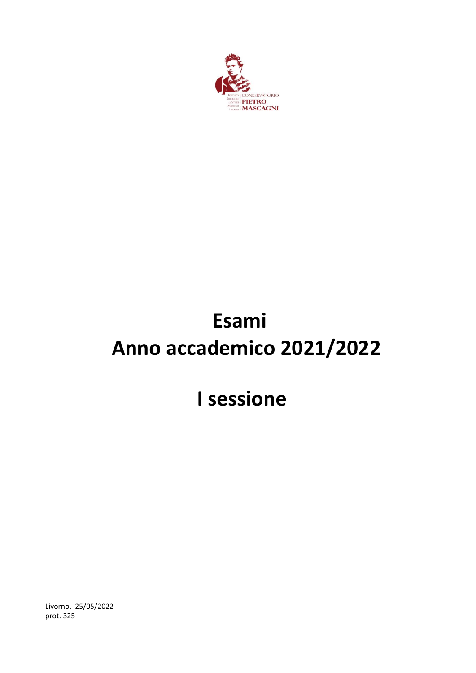

# **Esami Anno accademico 2021/2022**

# **I sessione**

Livorno, 25/05/2022 prot. 325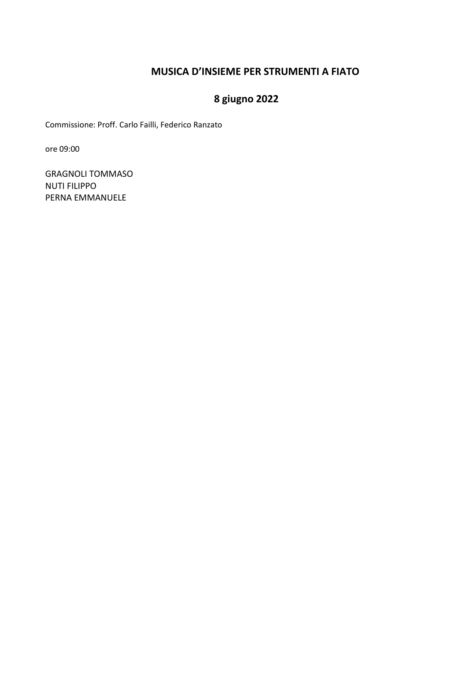### **MUSICA D'INSIEME PER STRUMENTI A FIATO**

# **8 giugno 2022**

Commissione: Proff. Carlo Failli, Federico Ranzato

ore 09:00

GRAGNOLI TOMMASO NUTI FILIPPO PERNA EMMANUELE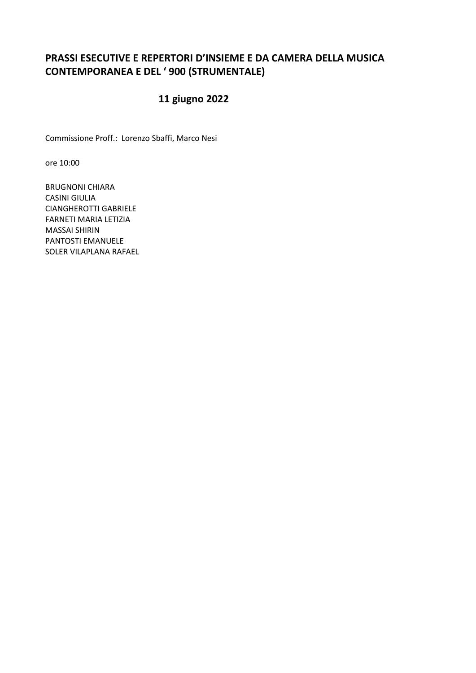### **PRASSI ESECUTIVE E REPERTORI D'INSIEME E DA CAMERA DELLA MUSICA CONTEMPORANEA E DEL ' 900 (STRUMENTALE)**

# **11 giugno 2022**

Commissione Proff.: Lorenzo Sbaffi, Marco Nesi

ore 10:00

BRUGNONI CHIARA CASINI GIULIA CIANGHEROTTI GABRIELE FARNETI MARIA LETIZIA MASSAI SHIRIN PANTOSTI EMANUELE SOLER VILAPLANA RAFAEL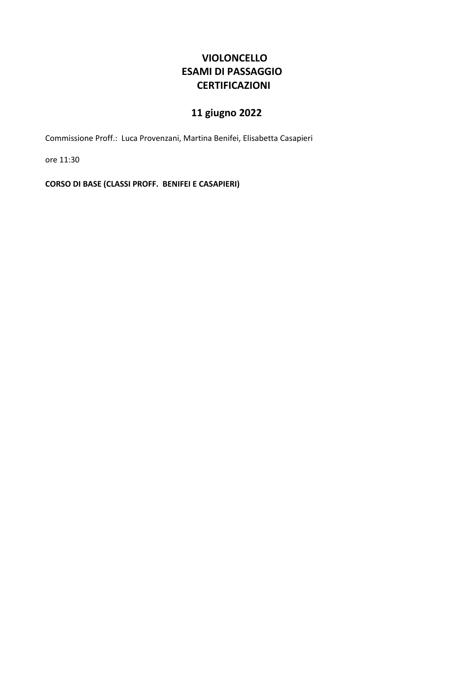### **VIOLONCELLO ESAMI DI PASSAGGIO CERTIFICAZIONI**

# **11 giugno 2022**

Commissione Proff.: Luca Provenzani, Martina Benifei, Elisabetta Casapieri

ore 11:30

**CORSO DI BASE (CLASSI PROFF. BENIFEI E CASAPIERI)**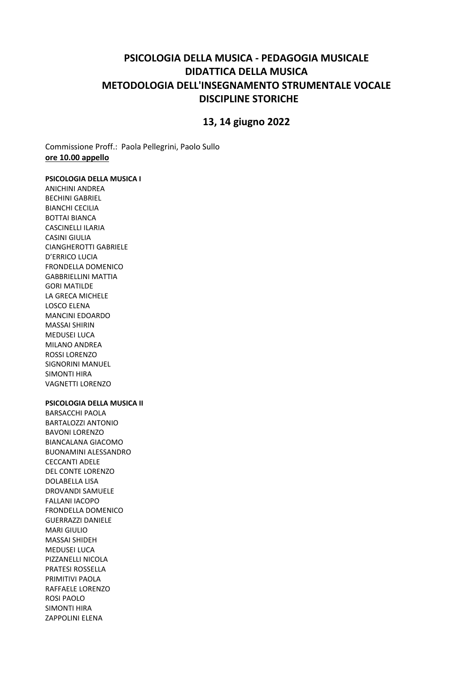### **PSICOLOGIA DELLA MUSICA - PEDAGOGIA MUSICALE DIDATTICA DELLA MUSICA METODOLOGIA DELL'INSEGNAMENTO STRUMENTALE VOCALE DISCIPLINE STORICHE**

### **13, 14 giugno 2022**

Commissione Proff.: Paola Pellegrini, Paolo Sullo **ore 10.00 appello**

#### **PSICOLOGIA DELLA MUSICA I**

ANICHINI ANDREA BECHINI GABRIEL BIANCHI CECILIA BOTTAI BIANCA CASCINELLI ILARIA CASINI GIULIA CIANGHEROTTI GABRIELE D'ERRICO LUCIA FRONDELLA DOMENICO GABBRIELLINI MATTIA GORI MATILDE LA GRECA MICHELE LOSCO ELENA MANCINI EDOARDO MASSAI SHIRIN **MEDUSEI LUCA** MILANO ANDREA ROSSI LORENZO SIGNORINI MANUEL SIMONTI HIRA VAGNETTI LORENZO

#### **PSICOLOGIA DELLA MUSICA II**

BARSACCHI PAOLA BARTALOZZI ANTONIO BAVONI LORENZO BIANCALANA GIACOMO BUONAMINI ALESSANDRO CECCANTI ADELE DEL CONTE LORENZO DOLABELLA LISA DROVANDI SAMUELE FALLANI IACOPO FRONDELLA DOMENICO GUERRAZZI DANIELE MARI GIULIO MASSAI SHIDEH MEDUSEI LUCA PIZZANELLI NICOLA PRATESI ROSSELLA PRIMITIVI PAOLA RAFFAELE LORENZO ROSI PAOLO SIMONTI HIRA ZAPPOLINI ELENA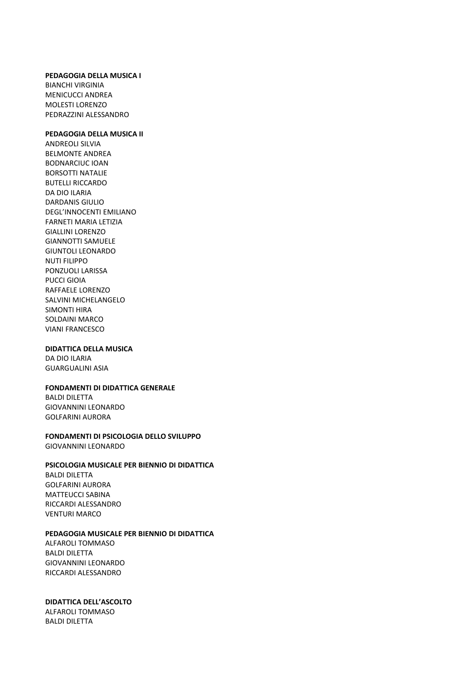#### **PEDAGOGIA DELLA MUSICA I**

BIANCHI VIRGINIA MENICUCCI ANDREA MOLESTI LORENZO PEDRAZZINI ALESSANDRO

#### **PEDAGOGIA DELLA MUSICA II**

ANDREOLI SILVIA BELMONTE ANDREA BODNARCIUC IOAN BORSOTTI NATALIE BUTELLI RICCARDO DA DIO ILARIA DARDANIS GIULIO DEGL'INNOCENTI EMILIANO FARNETI MARIA LETIZIA GIALLINI LORENZO GIANNOTTI SAMUELE GIUNTOLI LEONARDO NUTI FILIPPO PONZUOLI LARISSA PUCCI GIOIA RAFFAELE LORENZO SALVINI MICHELANGELO SIMONTI HIRA SOLDAINI MARCO VIANI FRANCESCO

#### **DIDATTICA DELLA MUSICA**

DA DIO ILARIA GUARGUALINI ASIA

#### **FONDAMENTI DI DIDATTICA GENERALE**

BALDI DILETTA GIOVANNINI LEONARDO GOLFARINI AURORA

#### **FONDAMENTI DI PSICOLOGIA DELLO SVILUPPO** GIOVANNINI LEONARDO

#### **PSICOLOGIA MUSICALE PER BIENNIO DI DIDATTICA**

BALDI DILETTA GOLFARINI AURORA MATTEUCCI SABINA RICCARDI ALESSANDRO VENTURI MARCO

#### **PEDAGOGIA MUSICALE PER BIENNIO DI DIDATTICA**

ALFAROLI TOMMASO BALDI DILETTA GIOVANNINI LEONARDO RICCARDI ALESSANDRO

#### **DIDATTICA DELL'ASCOLTO**

ALFAROLI TOMMASO BALDI DILETTA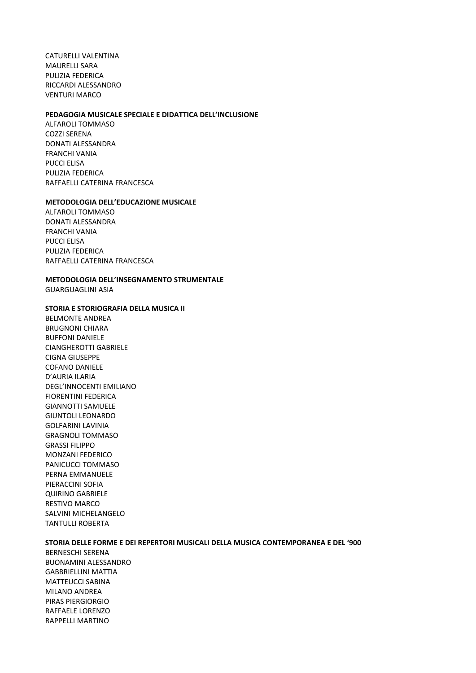CATURELLI VALENTINA MAURELLI SARA PULIZIA FEDERICA RICCARDI ALESSANDRO VENTURI MARCO

#### **PEDAGOGIA MUSICALE SPECIALE E DIDATTICA DELL'INCLUSIONE**

ALFAROLI TOMMASO COZZI SERENA DONATI ALESSANDRA FRANCHI VANIA PUCCI ELISA PULIZIA FEDERICA RAFFAELLI CATERINA FRANCESCA

#### **METODOLOGIA DELL'EDUCAZIONE MUSICALE**

ALFAROLI TOMMASO DONATI ALESSANDRA FRANCHI VANIA PUCCI ELISA PULIZIA FEDERICA RAFFAELLI CATERINA FRANCESCA

#### **METODOLOGIA DELL'INSEGNAMENTO STRUMENTALE**

GUARGUAGLINI ASIA

#### **STORIA E STORIOGRAFIA DELLA MUSICA II**

BELMONTE ANDREA BRUGNONI CHIARA BUFFONI DANIELE CIANGHEROTTI GABRIELE CIGNA GIUSEPPE COFANO DANIELE D'AURIA ILARIA DEGL'INNOCENTI EMILIANO FIORENTINI FEDERICA GIANNOTTI SAMUELE GIUNTOLI LEONARDO GOLFARINI LAVINIA GRAGNOLI TOMMASO GRASSI FILIPPO MONZANI FEDERICO PANICUCCI TOMMASO PERNA EMMANUELE PIERACCINI SOFIA QUIRINO GABRIELE RESTIVO MARCO SALVINI MICHELANGELO TANTULLI ROBERTA

#### **STORIA DELLE FORME E DEI REPERTORI MUSICALI DELLA MUSICA CONTEMPORANEA E DEL '900**

BERNESCHI SERENA BUONAMINI ALESSANDRO GABBRIELLINI MATTIA MATTEUCCI SABINA MILANO ANDREA PIRAS PIERGIORGIO RAFFAELE LORENZO RAPPELLI MARTINO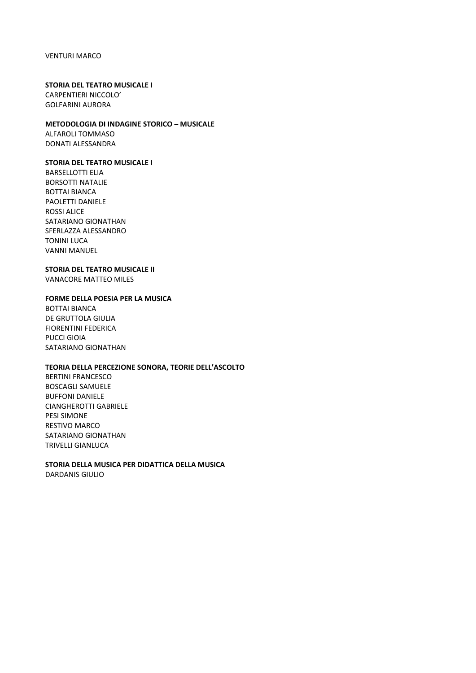#### VENTURI MARCO

#### **STORIA DEL TEATRO MUSICALE I**

CARPENTIERI NICCOLO' GOLFARINI AURORA

#### **METODOLOGIA DI INDAGINE STORICO – MUSICALE**

ALFAROLI TOMMASO DONATI ALESSANDRA

#### **STORIA DEL TEATRO MUSICALE I**

BARSELLOTTI ELIA BORSOTTI NATALIE BOTTAI BIANCA PAOLETTI DANIELE ROSSI ALICE SATARIANO GIONATHAN SFERLAZZA ALESSANDRO TONINI LUCA VANNI MANUEL

#### **STORIA DEL TEATRO MUSICALE II**

VANACORE MATTEO MILES

#### **FORME DELLA POESIA PER LA MUSICA**

BOTTAI BIANCA DE GRUTTOLA GIULIA FIORENTINI FEDERICA PUCCI GIOIA SATARIANO GIONATHAN

#### **TEORIA DELLA PERCEZIONE SONORA, TEORIE DELL'ASCOLTO**

BERTINI FRANCESCO BOSCAGLI SAMUELE BUFFONI DANIELE CIANGHEROTTI GABRIELE PESI SIMONE RESTIVO MARCO SATARIANO GIONATHAN TRIVELLI GIANLUCA

#### **STORIA DELLA MUSICA PER DIDATTICA DELLA MUSICA** DARDANIS GIULIO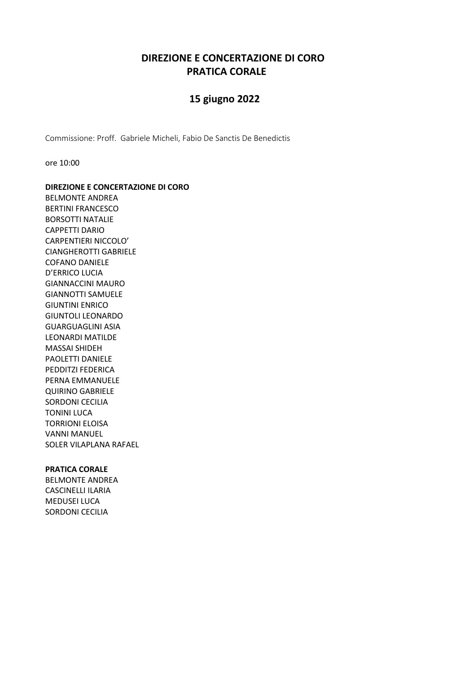### **DIREZIONE E CONCERTAZIONE DI CORO PRATICA CORALE**

### **15 giugno 2022**

Commissione: Proff. Gabriele Micheli, Fabio De Sanctis De Benedictis

ore 10:00

**DIREZIONE E CONCERTAZIONE DI CORO** BELMONTE ANDREA BERTINI FRANCESCO BORSOTTI NATALIE CAPPETTI DARIO CARPENTIERI NICCOLO' CIANGHEROTTI GABRIELE COFANO DANIELE D'ERRICO LUCIA GIANNACCINI MAURO GIANNOTTI SAMUELE GIUNTINI ENRICO GIUNTOLI LEONARDO GUARGUAGLINI ASIA LEONARDI MATILDE MASSAI SHIDEH PAOLETTI DANIELE PEDDITZI FEDERICA PERNA EMMANUELE QUIRINO GABRIELE SORDONI CECILIA TONINI LUCA TORRIONI ELOISA VANNI MANUEL SOLER VILAPLANA RAFAEL

#### **PRATICA CORALE**

BELMONTE ANDREA CASCINELLI ILARIA MEDUSEI LUCA SORDONI CECILIA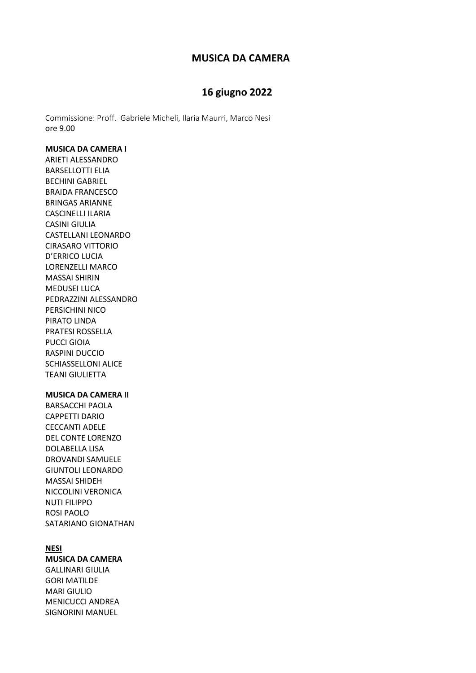### **MUSICA DA CAMERA**

### **16 giugno 2022**

Commissione: Proff. Gabriele Micheli, Ilaria Maurri, Marco Nesi ore 9.00

#### **MUSICA DA CAMERA I**

ARIETI ALESSANDRO BARSELLOTTI ELIA BECHINI GABRIEL BRAIDA FRANCESCO BRINGAS ARIANNE CASCINELLI ILARIA CASINI GIULIA CASTELLANI LEONARDO CIRASARO VITTORIO D'ERRICO LUCIA LORENZELLI MARCO MASSAI SHIRIN MEDUSEI LUCA PEDRAZZINI ALESSANDRO PERSICHINI NICO PIRATO LINDA PRATESI ROSSELLA PUCCI GIOIA RASPINI DUCCIO SCHIASSELLONI ALICE TEANI GIULIETTA

#### **MUSICA DA CAMERA II**

BARSACCHI PAOLA CAPPETTI DARIO CECCANTI ADELE DEL CONTE LORENZO DOLABELLA LISA DROVANDI SAMUELE GIUNTOLI LEONARDO MASSAI SHIDEH NICCOLINI VERONICA NUTI FILIPPO ROSI PAOLO SATARIANO GIONATHAN

#### **NESI**

#### **MUSICA DA CAMERA**

GALLINARI GIULIA GORI MATILDE MARI GIULIO MENICUCCI ANDREA SIGNORINI MANUEL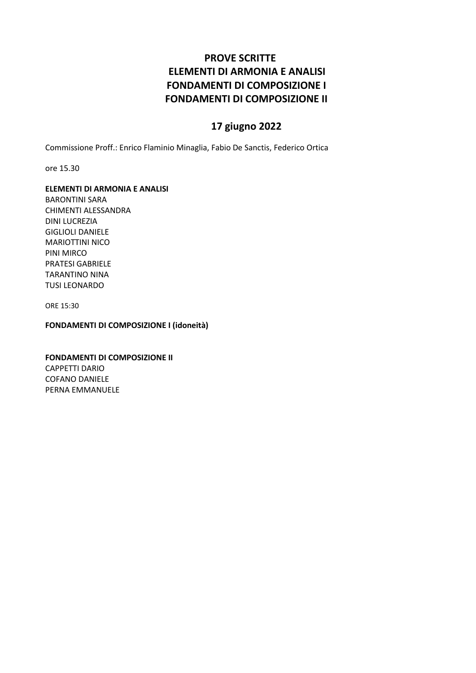### **PROVE SCRITTE ELEMENTI DI ARMONIA E ANALISI FONDAMENTI DI COMPOSIZIONE I FONDAMENTI DI COMPOSIZIONE II**

### **17 giugno 2022**

Commissione Proff.: Enrico Flaminio Minaglia, Fabio De Sanctis, Federico Ortica

ore 15.30

#### **ELEMENTI DI ARMONIA E ANALISI**

BARONTINI SARA CHIMENTI ALESSANDRA DINI LUCREZIA GIGLIOLI DANIELE MARIOTTINI NICO PINI MIRCO PRATESI GABRIELE TARANTINO NINA TUSI LEONARDO

ORE 15:30

**FONDAMENTI DI COMPOSIZIONE I (idoneità)**

**FONDAMENTI DI COMPOSIZIONE II** CAPPETTI DARIO COFANO DANIELE PERNA EMMANUELE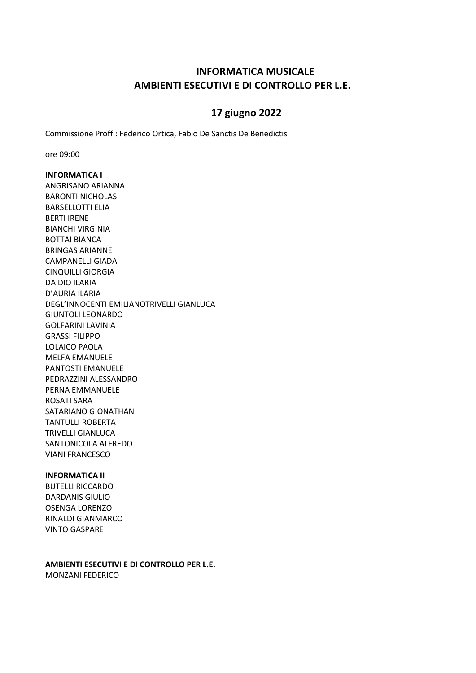### **INFORMATICA MUSICALE AMBIENTI ESECUTIVI E DI CONTROLLO PER L.E.**

### **17 giugno 2022**

Commissione Proff.: Federico Ortica, Fabio De Sanctis De Benedictis

ore 09:00

#### **INFORMATICA I**

ANGRISANO ARIANNA BARONTI NICHOLAS BARSELLOTTI ELIA BERTI IRENE BIANCHI VIRGINIA BOTTAI BIANCA BRINGAS ARIANNE CAMPANELLI GIADA CINQUILLI GIORGIA DA DIO ILARIA D'AURIA ILARIA DEGL'INNOCENTI EMILIANOTRIVELLI GIANLUCA GIUNTOLI LEONARDO GOLFARINI LAVINIA GRASSI FILIPPO LOLAICO PAOLA MELFA EMANUELE PANTOSTI EMANUELE PEDRAZZINI ALESSANDRO PERNA EMMANUELE ROSATI SARA SATARIANO GIONATHAN TANTULLI ROBERTA TRIVELLI GIANLUCA SANTONICOLA ALFREDO VIANI FRANCESCO

#### **INFORMATICA II**

BUTELLI RICCARDO DARDANIS GIULIO OSENGA LORENZO RINALDI GIANMARCO VINTO GASPARE

**AMBIENTI ESECUTIVI E DI CONTROLLO PER L.E.** MONZANI FEDERICO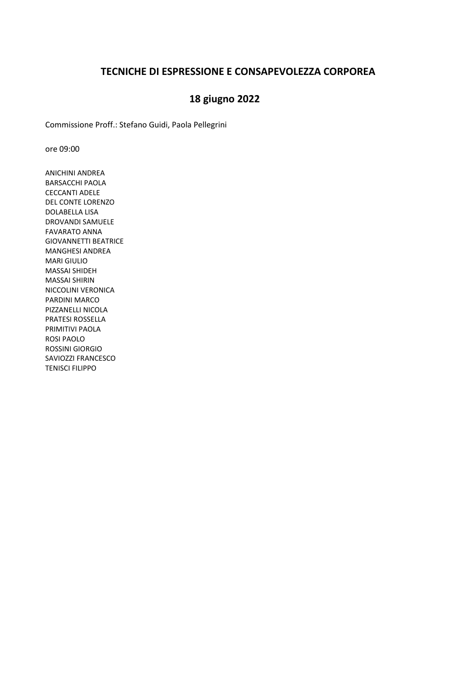### **TECNICHE DI ESPRESSIONE E CONSAPEVOLEZZA CORPOREA**

### **18 giugno 2022**

Commissione Proff.: Stefano Guidi, Paola Pellegrini

ore 09:00

ANICHINI ANDREA BARSACCHI PAOLA CECCANTI ADELE DEL CONTE LORENZO DOLABELLA LISA DROVANDI SAMUELE FAVARATO ANNA GIOVANNETTI BEATRICE MANGHESI ANDREA MARI GIULIO MASSAI SHIDEH MASSAI SHIRIN NICCOLINI VERONICA PARDINI MARCO PIZZANELLI NICOLA PRATESI ROSSELLA PRIMITIVI PAOLA ROSI PAOLO ROSSINI GIORGIO SAVIOZZI FRANCESCO TENISCI FILIPPO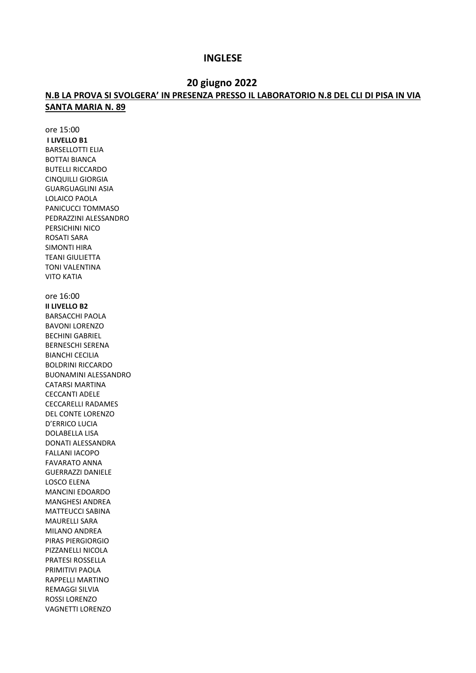#### **INGLESE**

#### **20 giugno 2022**

### **N.B LA PROVA SI SVOLGERA' IN PRESENZA PRESSO IL LABORATORIO N.8 DEL CLI DI PISA IN VIA SANTA MARIA N. 89**

ore 15:00 **I LIVELLO B1** BARSELLOTTI ELIA BOTTAI BIANCA BUTELLI RICCARDO CINQUILLI GIORGIA GUARGUAGLINI ASIA LOLAICO PAOLA PANICUCCI TOMMASO PEDRAZZINI ALESSANDRO PERSICHINI NICO ROSATI SARA SIMONTI HIRA TEANI GIULIETTA TONI VALENTINA VITO KATIA ore 16:00 **II LIVELLO B2** BARSACCHI PAOLA BAVONI LORENZO BECHINI GABRIEL BERNESCHI SERENA BIANCHI CECILIA BOLDRINI RICCARDO BUONAMINI ALESSANDRO CATARSI MARTINA CECCANTI ADELE CECCARELLI RADAMES DEL CONTE LORENZO D'ERRICO LUCIA DOLABELLA LISA DONATI ALESSANDRA FALLANI IACOPO FAVARATO ANNA GUERRAZZI DANIELE LOSCO ELENA MANCINI EDOARDO MANGHESI ANDREA MATTEUCCI SABINA MAURELLI SARA MILANO ANDREA PIRAS PIERGIORGIO PIZZANELLI NICOLA PRATESI ROSSELLA PRIMITIVI PAOLA RAPPELLI MARTINO REMAGGI SILVIA ROSSI LORENZO VAGNETTI LORENZO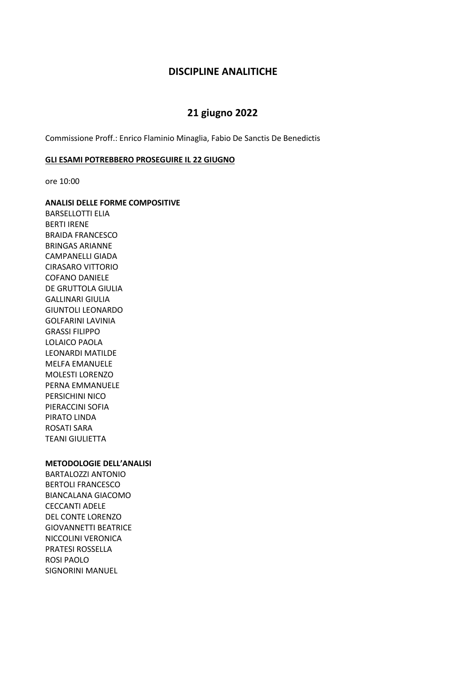#### **DISCIPLINE ANALITICHE**

### **21 giugno 2022**

Commissione Proff.: Enrico Flaminio Minaglia, Fabio De Sanctis De Benedictis

#### **GLI ESAMI POTREBBERO PROSEGUIRE IL 22 GIUGNO**

ore 10:00

**ANALISI DELLE FORME COMPOSITIVE** 

BARSELLOTTI ELIA BERTI IRENE BRAIDA FRANCESCO BRINGAS ARIANNE CAMPANELLI GIADA CIRASARO VITTORIO COFANO DANIELE DE GRUTTOLA GIULIA GALLINARI GIULIA GIUNTOLI LEONARDO GOLFARINI LAVINIA GRASSI FILIPPO LOLAICO PAOLA LEONARDI MATILDE MELFA EMANUELE MOLESTI LORENZO PERNA EMMANUELE PERSICHINI NICO PIERACCINI SOFIA PIRATO LINDA ROSATI SARA TEANI GIULIETTA

#### **METODOLOGIE DELL'ANALISI**

BARTALOZZI ANTONIO BERTOLI FRANCESCO BIANCALANA GIACOMO CECCANTI ADELE DEL CONTE LORENZO GIOVANNETTI BEATRICE NICCOLINI VERONICA PRATESI ROSSELLA ROSI PAOLO SIGNORINI MANUEL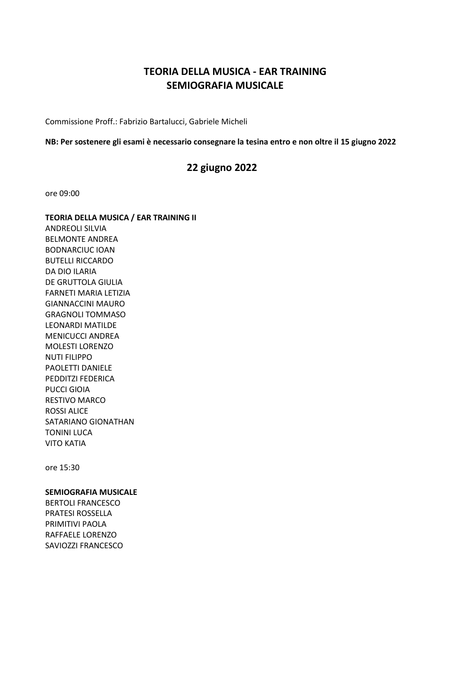### **TEORIA DELLA MUSICA - EAR TRAINING SEMIOGRAFIA MUSICALE**

Commissione Proff.: Fabrizio Bartalucci, Gabriele Micheli

#### **NB: Per sostenere gli esami è necessario consegnare la tesina entro e non oltre il 15 giugno 2022**

### **22 giugno 2022**

ore 09:00

**TEORIA DELLA MUSICA / EAR TRAINING II** ANDREOLI SILVIA BELMONTE ANDREA BODNARCIUC IOAN BUTELLI RICCARDO DA DIO ILARIA DE GRUTTOLA GIULIA FARNETI MARIA LETIZIA GIANNACCINI MAURO GRAGNOLI TOMMASO LEONARDI MATILDE MENICUCCI ANDREA MOLESTI LORENZO NUTI FILIPPO PAOLETTI DANIELE PEDDITZI FEDERICA PUCCI GIOIA RESTIVO MARCO ROSSI ALICE SATARIANO GIONATHAN TONINI LUCA VITO KATIA

ore 15:30

#### **SEMIOGRAFIA MUSICALE**

BERTOLI FRANCESCO PRATESI ROSSELLA PRIMITIVI PAOLA RAFFAELE LORENZO SAVIOZZI FRANCESCO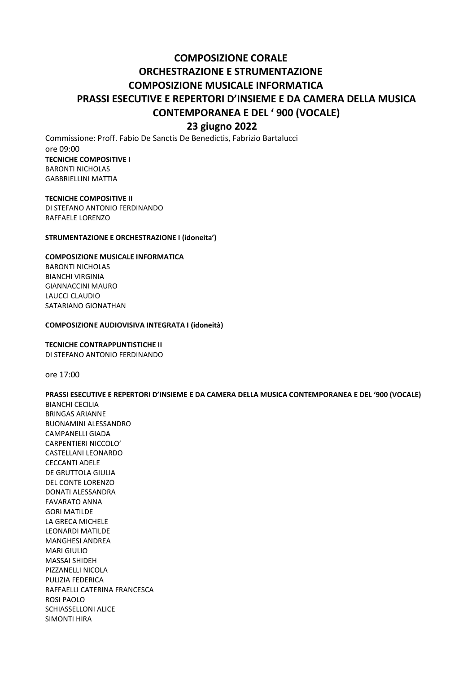## **COMPOSIZIONE CORALE ORCHESTRAZIONE E STRUMENTAZIONE COMPOSIZIONE MUSICALE INFORMATICA PRASSI ESECUTIVE E REPERTORI D'INSIEME E DA CAMERA DELLA MUSICA CONTEMPORANEA E DEL ' 900 (VOCALE)**

### **23 giugno 2022**

Commissione: Proff. Fabio De Sanctis De Benedictis, Fabrizio Bartalucci ore 09:00 **TECNICHE COMPOSITIVE I** BARONTI NICHOLAS GABBRIELLINI MATTIA

**TECNICHE COMPOSITIVE II** DI STEFANO ANTONIO FERDINANDO RAFFAELE LORENZO

#### **STRUMENTAZIONE E ORCHESTRAZIONE I (idoneita')**

#### **COMPOSIZIONE MUSICALE INFORMATICA**

BARONTI NICHOLAS BIANCHI VIRGINIA GIANNACCINI MAURO LAUCCI CLAUDIO SATARIANO GIONATHAN

#### **COMPOSIZIONE AUDIOVISIVA INTEGRATA I (idoneità)**

#### **TECNICHE CONTRAPPUNTISTICHE II**

DI STEFANO ANTONIO FERDINANDO

ore 17:00

#### **PRASSI ESECUTIVE E REPERTORI D'INSIEME E DA CAMERA DELLA MUSICA CONTEMPORANEA E DEL '900 (VOCALE)** BIANCHI CECILIA BRINGAS ARIANNE BUONAMINI ALESSANDRO

CAMPANELLI GIADA CARPENTIERI NICCOLO' CASTELLANI LEONARDO CECCANTI ADELE DE GRUTTOLA GIULIA DEL CONTE LORENZO DONATI ALESSANDRA FAVARATO ANNA GORI MATILDE LA GRECA MICHELE LEONARDI MATILDE MANGHESI ANDREA MARI GIULIO MASSAI SHIDEH PIZZANELLI NICOLA PULIZIA FEDERICA RAFFAELLI CATERINA FRANCESCA ROSI PAOLO SCHIASSELLONI ALICE SIMONTI HIRA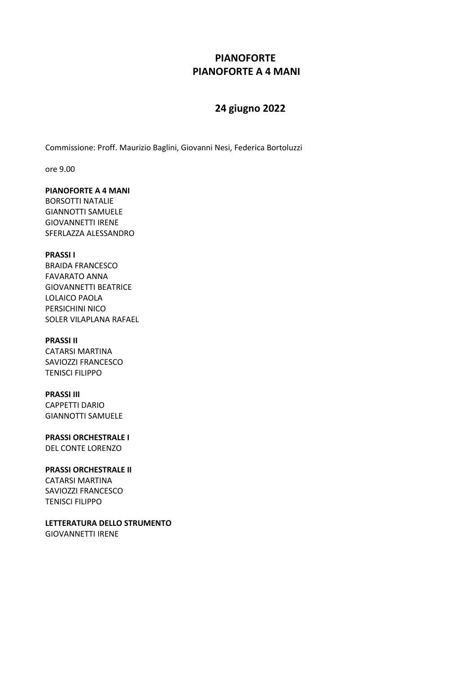### **PIANOFORTE PIANOFORTE A 4 MANI**

### **24 giugno 2022**

Commissione: Proff. Maurizio Baglini, Giovanni Nesi, Federica Bortoluzzi

ore 9.00

#### **PIANOFORTE A 4 MANI**

BORSOTTI NATALIE GIANNOTTI SAMUELE GIOVANNETTI IRENE SFERLAZZA ALESSANDRO

#### **PRASSI I**

BRAIDA FRANCESCO FAVARATO ANNA GIOVANNETTI BEATRICE LOLAICO PAOLA PERSICHINI NICO SOLER VILAPLANA RAFAEL

#### **PRASSI II**

CATARSI MARTINA SAVIOZZI FRANCESCO TENISCI FILIPPO

### **PRASSI III**

CAPPETTI DARIO GIANNOTTI SAMUELE

**PRASSI ORCHESTRALE I** DEL CONTE LORENZO

#### **PRASSI ORCHESTRALE II**

CATARSI MARTINA SAVIOZZI FRANCESCO TENISCI FILIPPO

**LETTERATURA DELLO STRUMENTO** GIOVANNETTI IRENE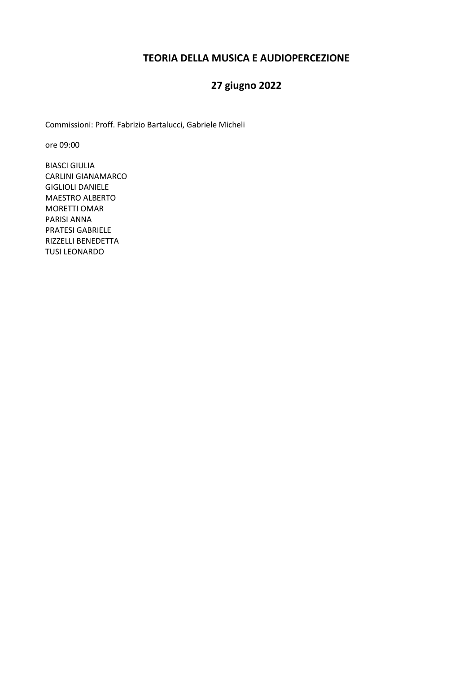### **TEORIA DELLA MUSICA E AUDIOPERCEZIONE**

# **27 giugno 2022**

Commissioni: Proff. Fabrizio Bartalucci, Gabriele Micheli

ore 09:00

BIASCI GIULIA CARLINI GIANAMARCO GIGLIOLI DANIELE MAESTRO ALBERTO MORETTI OMAR PARISI ANNA PRATESI GABRIELE RIZZELLI BENEDETTA TUSI LEONARDO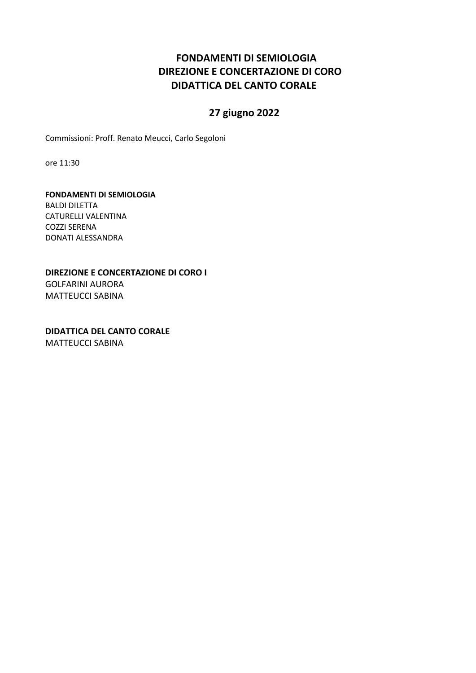### **FONDAMENTI DI SEMIOLOGIA DIREZIONE E CONCERTAZIONE DI CORO DIDATTICA DEL CANTO CORALE**

### **27 giugno 2022**

Commissioni: Proff. Renato Meucci, Carlo Segoloni

ore 11:30

#### **FONDAMENTI DI SEMIOLOGIA**

BALDI DILETTA CATURELLI VALENTINA COZZI SERENA DONATI ALESSANDRA

#### **DIREZIONE E CONCERTAZIONE DI CORO I**  GOLFARINI AURORA MATTEUCCI SABINA

**DIDATTICA DEL CANTO CORALE**  MATTEUCCI SABINA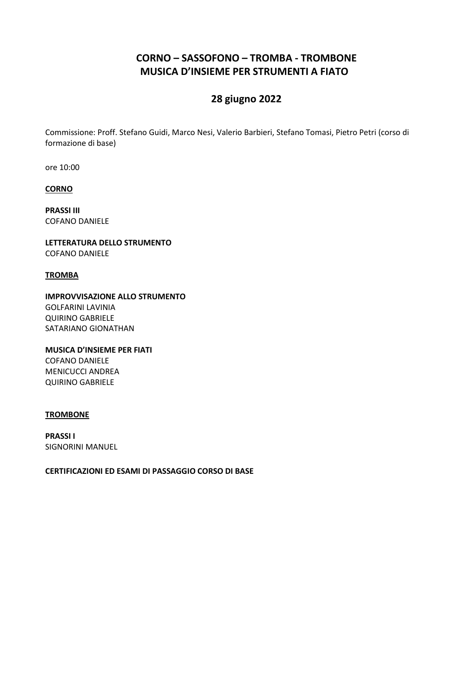### **CORNO – SASSOFONO – TROMBA - TROMBONE MUSICA D'INSIEME PER STRUMENTI A FIATO**

### **28 giugno 2022**

Commissione: Proff. Stefano Guidi, Marco Nesi, Valerio Barbieri, Stefano Tomasi, Pietro Petri (corso di formazione di base)

ore 10:00

**CORNO**

**PRASSI III** COFANO DANIELE

**LETTERATURA DELLO STRUMENTO** COFANO DANIELE

#### **TROMBA**

**IMPROVVISAZIONE ALLO STRUMENTO** GOLFARINI LAVINIA QUIRINO GABRIELE SATARIANO GIONATHAN

**MUSICA D'INSIEME PER FIATI** COFANO DANIELE MENICUCCI ANDREA QUIRINO GABRIELE

#### **TROMBONE**

**PRASSI I** SIGNORINI MANUEL

**CERTIFICAZIONI ED ESAMI DI PASSAGGIO CORSO DI BASE**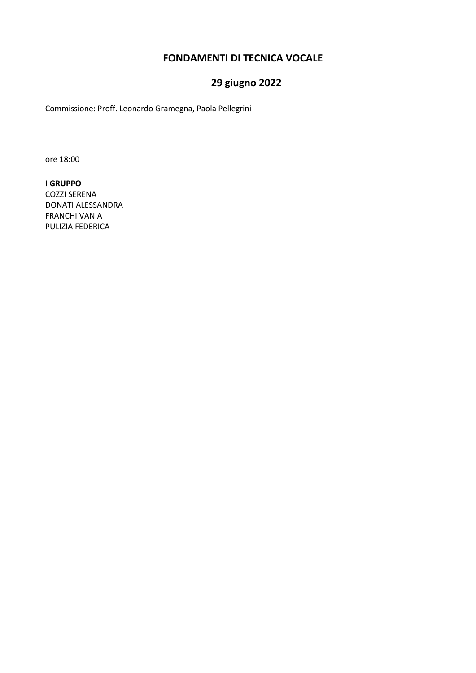### **FONDAMENTI DI TECNICA VOCALE**

### **29 giugno 2022**

Commissione: Proff. Leonardo Gramegna, Paola Pellegrini

ore 18:00

**I GRUPPO** COZZI SERENA DONATI ALESSANDRA FRANCHI VANIA PULIZIA FEDERICA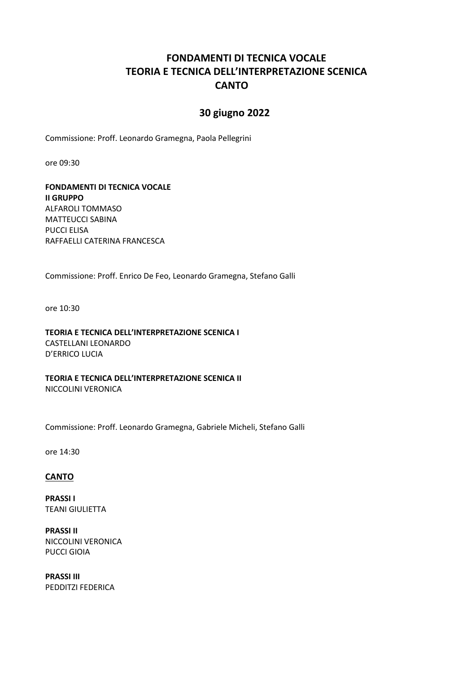### **FONDAMENTI DI TECNICA VOCALE TEORIA E TECNICA DELL'INTERPRETAZIONE SCENICA CANTO**

### **30 giugno 2022**

Commissione: Proff. Leonardo Gramegna, Paola Pellegrini

ore 09:30

**FONDAMENTI DI TECNICA VOCALE II GRUPPO** ALFAROLI TOMMASO MATTEUCCI SABINA PUCCI ELISA RAFFAELLI CATERINA FRANCESCA

Commissione: Proff. Enrico De Feo, Leonardo Gramegna, Stefano Galli

ore 10:30

**TEORIA E TECNICA DELL'INTERPRETAZIONE SCENICA I** CASTELLANI LEONARDO D'ERRICO LUCIA

**TEORIA E TECNICA DELL'INTERPRETAZIONE SCENICA II** NICCOLINI VERONICA

Commissione: Proff. Leonardo Gramegna, Gabriele Micheli, Stefano Galli

ore 14:30

#### **CANTO**

**PRASSI I** TEANI GIULIETTA

**PRASSI II** NICCOLINI VERONICA PUCCI GIOIA

**PRASSI III** PEDDITZI FEDERICA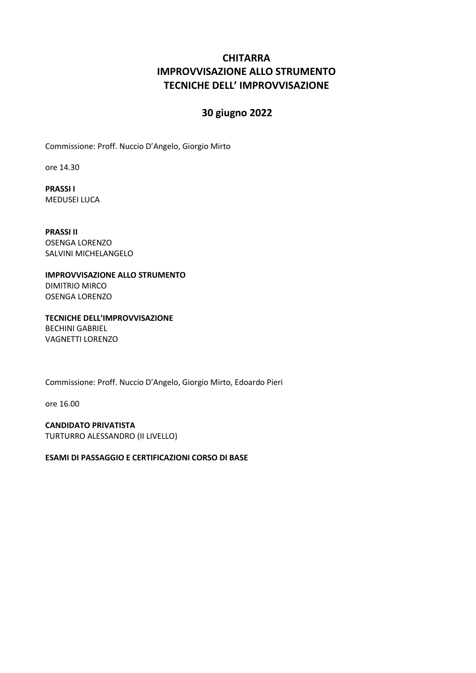### **CHITARRA IMPROVVISAZIONE ALLO STRUMENTO TECNICHE DELL' IMPROVVISAZIONE**

### **30 giugno 2022**

Commissione: Proff. Nuccio D'Angelo, Giorgio Mirto

ore 14.30

**PRASSI I** MEDUSEI LUCA

**PRASSI II** OSENGA LORENZO SALVINI MICHELANGELO

**IMPROVVISAZIONE ALLO STRUMENTO** DIMITRIO MIRCO OSENGA LORENZO

**TECNICHE DELL'IMPROVVISAZIONE** BECHINI GABRIEL VAGNETTI LORENZO

Commissione: Proff. Nuccio D'Angelo, Giorgio Mirto, Edoardo Pieri

ore 16.00

**CANDIDATO PRIVATISTA** TURTURRO ALESSANDRO (II LIVELLO)

**ESAMI DI PASSAGGIO E CERTIFICAZIONI CORSO DI BASE**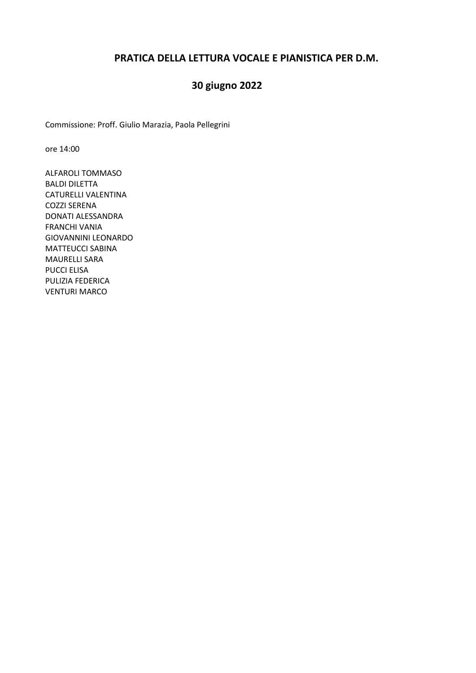### **PRATICA DELLA LETTURA VOCALE E PIANISTICA PER D.M.**

### **30 giugno 2022**

Commissione: Proff. Giulio Marazia, Paola Pellegrini

ore 14:00

ALFAROLI TOMMASO BALDI DILETTA CATURELLI VALENTINA COZZI SERENA DONATI ALESSANDRA FRANCHI VANIA GIOVANNINI LEONARDO MATTEUCCI SABINA MAURELLI SARA PUCCI ELISA PULIZIA FEDERICA VENTURI MARCO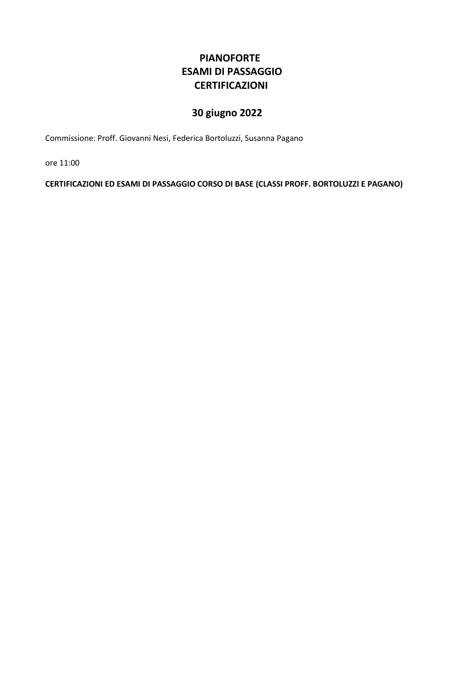### **PIANOFORTE ESAMI DI PASSAGGIO CERTIFICAZIONI**

# **30 giugno 2022**

Commissione: Proff. Giovanni Nesi, Federica Bortoluzzi, Susanna Pagano

ore 11:00

**CERTIFICAZIONI ED ESAMI DI PASSAGGIO CORSO DI BASE (CLASSI PROFF. BORTOLUZZI E PAGANO)**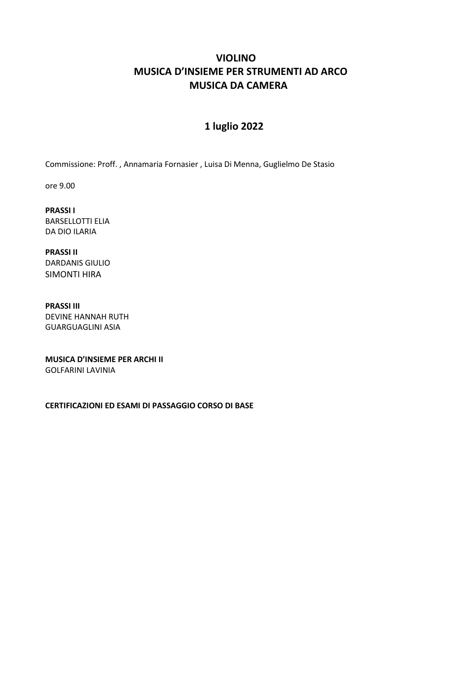### **VIOLINO MUSICA D'INSIEME PER STRUMENTI AD ARCO MUSICA DA CAMERA**

### **1 luglio 2022**

Commissione: Proff. , Annamaria Fornasier , Luisa Di Menna, Guglielmo De Stasio

ore 9.00

**PRASSI I**  BARSELLOTTI ELIA DA DIO ILARIA

**PRASSI II** DARDANIS GIULIO SIMONTI HIRA

**PRASSI III** DEVINE HANNAH RUTH GUARGUAGLINI ASIA

**MUSICA D'INSIEME PER ARCHI II** GOLFARINI LAVINIA

**CERTIFICAZIONI ED ESAMI DI PASSAGGIO CORSO DI BASE**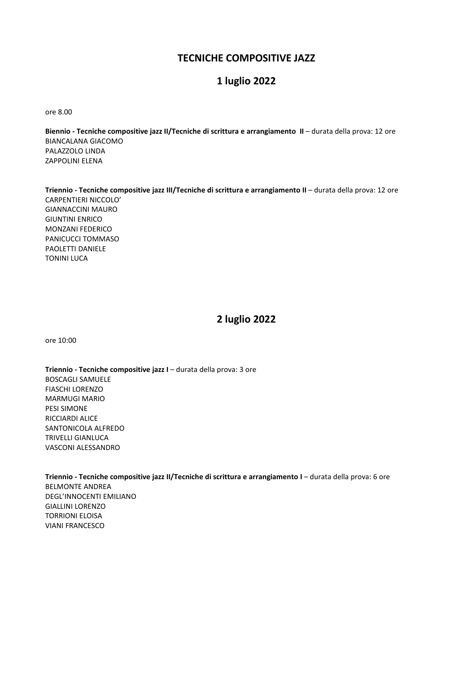### **TECNICHE COMPOSITIVE JAZZ**

### **1 luglio 2022**

ore 8.00

**Biennio - Tecniche compositive jazz II/Tecniche di scrittura e arrangiamento II** – durata della prova: 12 ore BIANCALANA GIACOMO PALAZZOLO LINDA ZAPPOLINI ELENA

**Triennio - Tecniche compositive jazz III/Tecniche di scrittura e arrangiamento II** – durata della prova: 12 ore CARPENTIERI NICCOLO' GIANNACCINI MAURO GIUNTINI ENRICO MONZANI FEDERICO PANICUCCI TOMMASO PAOLETTI DANIELE TONINI LUCA

### **2 luglio 2022**

ore 10:00

**Triennio - Tecniche compositive jazz I** – durata della prova: 3 ore BOSCAGLI SAMUELE FIASCHI LORENZO MARMUGI MARIO PESI SIMONE RICCIARDI ALICE SANTONICOLA ALFREDO TRIVELLI GIANLUCA VASCONI ALESSANDRO

**Triennio - Tecniche compositive jazz II/Tecniche di scrittura e arrangiamento I** – durata della prova: 6 ore BELMONTE ANDREA DEGL'INNOCENTI EMILIANO GIALLINI LORENZO TORRIONI ELOISA VIANI FRANCESCO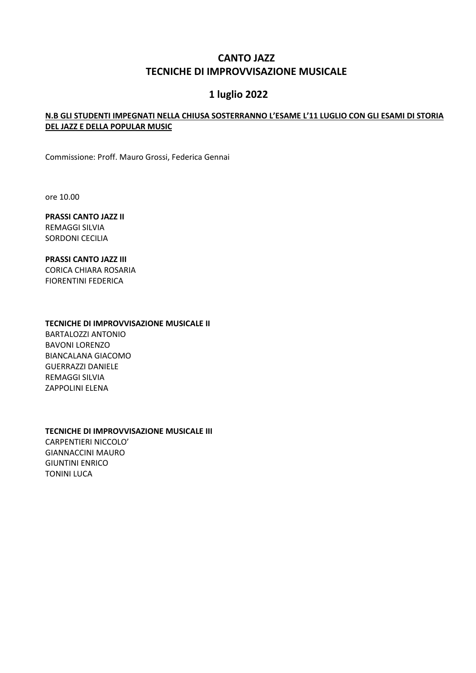### **CANTO JAZZ TECNICHE DI IMPROVVISAZIONE MUSICALE**

### **1 luglio 2022**

#### **N.B GLI STUDENTI IMPEGNATI NELLA CHIUSA SOSTERRANNO L'ESAME L'11 LUGLIO CON GLI ESAMI DI STORIA DEL JAZZ E DELLA POPULAR MUSIC**

Commissione: Proff. Mauro Grossi, Federica Gennai

ore 10.00

**PRASSI CANTO JAZZ II** REMAGGI SILVIA SORDONI CECILIA

**PRASSI CANTO JAZZ III** CORICA CHIARA ROSARIA FIORENTINI FEDERICA

#### **TECNICHE DI IMPROVVISAZIONE MUSICALE II**

BARTALOZZI ANTONIO BAVONI LORENZO BIANCALANA GIACOMO GUERRAZZI DANIELE REMAGGI SILVIA ZAPPOLINI ELENA

#### **TECNICHE DI IMPROVVISAZIONE MUSICALE III**

CARPENTIERI NICCOLO' GIANNACCINI MAURO GIUNTINI ENRICO TONINI LUCA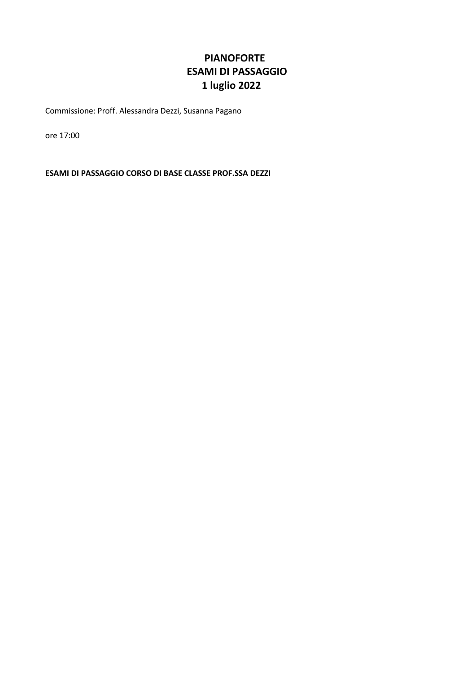### **PIANOFORTE ESAMI DI PASSAGGIO 1 luglio 2022**

Commissione: Proff. Alessandra Dezzi, Susanna Pagano

ore 17:00

**ESAMI DI PASSAGGIO CORSO DI BASE CLASSE PROF.SSA DEZZI**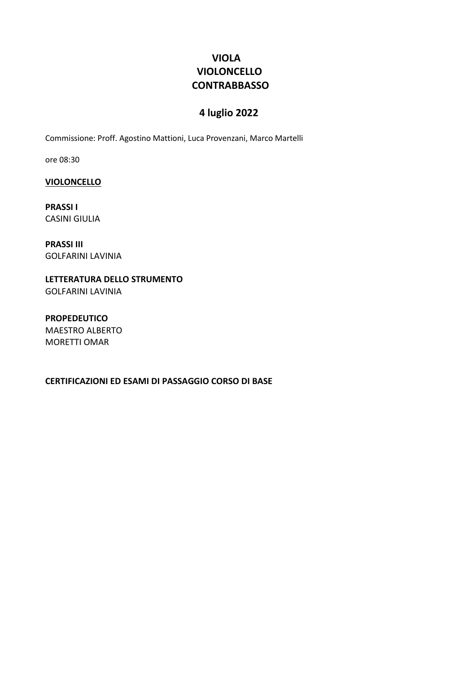### **VIOLA VIOLONCELLO CONTRABBASSO**

### **4 luglio 2022**

Commissione: Proff. Agostino Mattioni, Luca Provenzani, Marco Martelli

ore 08:30

**VIOLONCELLO**

**PRASSI I** CASINI GIULIA

**PRASSI III** GOLFARINI LAVINIA

**LETTERATURA DELLO STRUMENTO** GOLFARINI LAVINIA

**PROPEDEUTICO** MAESTRO ALBERTO MORETTI OMAR

**CERTIFICAZIONI ED ESAMI DI PASSAGGIO CORSO DI BASE**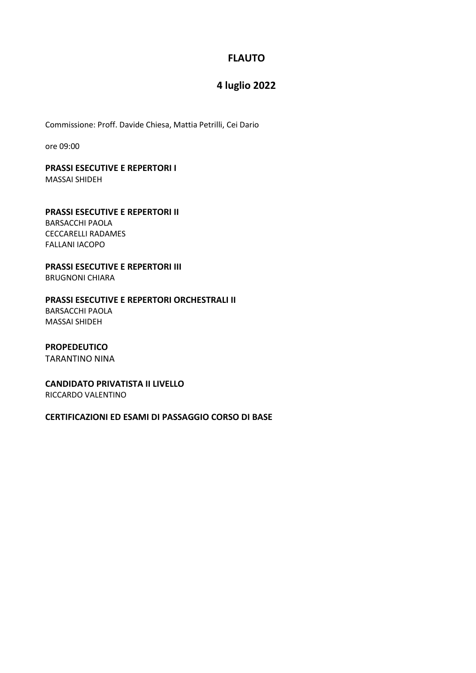### **FLAUTO**

### **4 luglio 2022**

Commissione: Proff. Davide Chiesa, Mattia Petrilli, Cei Dario

ore 09:00

## **PRASSI ESECUTIVE E REPERTORI I**

MASSAI SHIDEH

### **PRASSI ESECUTIVE E REPERTORI II** BARSACCHI PAOLA CECCARELLI RADAMES

**PRASSI ESECUTIVE E REPERTORI III**

BRUGNONI CHIARA

FALLANI IACOPO

#### **PRASSI ESECUTIVE E REPERTORI ORCHESTRALI II**

BARSACCHI PAOLA MASSAI SHIDEH

#### **PROPEDEUTICO**

TARANTINO NINA

### **CANDIDATO PRIVATISTA II LIVELLO**

RICCARDO VALENTINO

#### **CERTIFICAZIONI ED ESAMI DI PASSAGGIO CORSO DI BASE**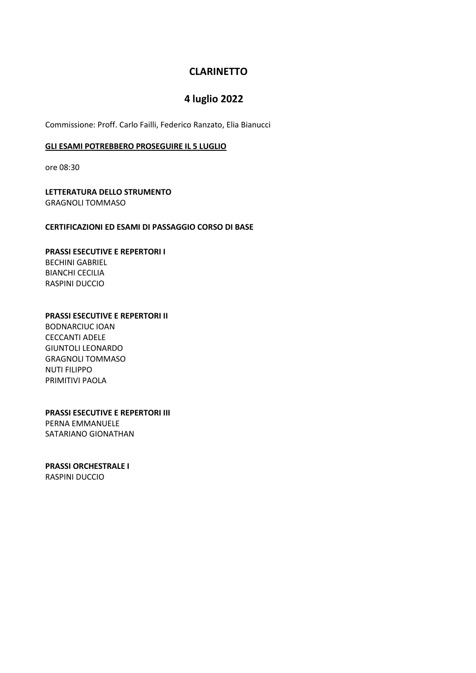### **CLARINETTO**

### **4 luglio 2022**

Commissione: Proff. Carlo Failli, Federico Ranzato, Elia Bianucci

#### **GLI ESAMI POTREBBERO PROSEGUIRE IL 5 LUGLIO**

ore 08:30

**LETTERATURA DELLO STRUMENTO** GRAGNOLI TOMMASO

#### **CERTIFICAZIONI ED ESAMI DI PASSAGGIO CORSO DI BASE**

#### **PRASSI ESECUTIVE E REPERTORI I** BECHINI GABRIEL BIANCHI CECILIA RASPINI DUCCIO

#### **PRASSI ESECUTIVE E REPERTORI II**

BODNARCIUC IOAN CECCANTI ADELE GIUNTOLI LEONARDO GRAGNOLI TOMMASO NUTI FILIPPO PRIMITIVI PAOLA

### **PRASSI ESECUTIVE E REPERTORI III**

PERNA EMMANUELE SATARIANO GIONATHAN

#### **PRASSI ORCHESTRALE I**

RASPINI DUCCIO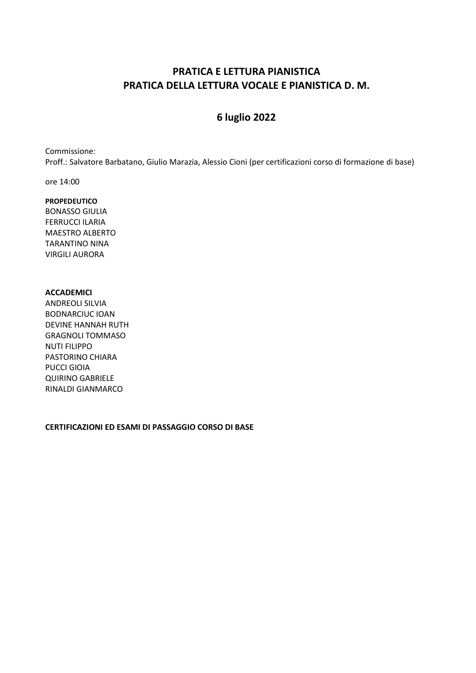### **PRATICA E LETTURA PIANISTICA PRATICA DELLA LETTURA VOCALE E PIANISTICA D. M.**

### **6 luglio 2022**

Commissione: Proff.: Salvatore Barbatano, Giulio Marazia, Alessio Cioni (per certificazioni corso di formazione di base)

ore 14:00

#### **PROPEDEUTICO**

BONASSO GIULIA FERRUCCI ILARIA MAESTRO ALBERTO TARANTINO NINA VIRGILI AURORA

#### **ACCADEMICI**

ANDREOLI SILVIA BODNARCIUC IOAN DEVINE HANNAH RUTH GRAGNOLI TOMMASO NUTI FILIPPO PASTORINO CHIARA PUCCI GIOIA QUIRINO GABRIELE RINALDI GIANMARCO

#### **CERTIFICAZIONI ED ESAMI DI PASSAGGIO CORSO DI BASE**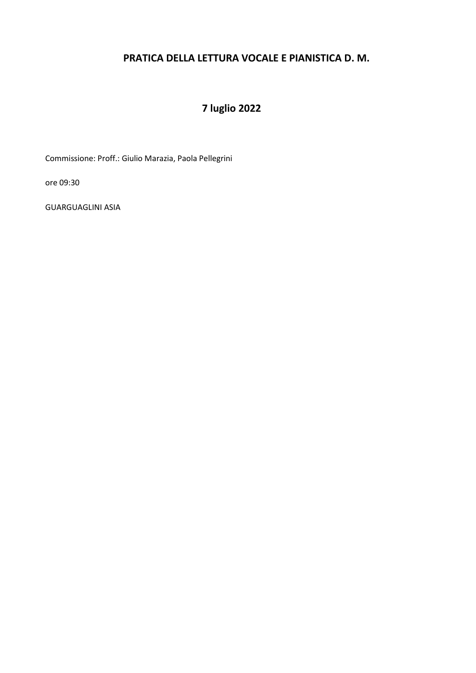### **PRATICA DELLA LETTURA VOCALE E PIANISTICA D. M.**

# **7 luglio 2022**

Commissione: Proff.: Giulio Marazia, Paola Pellegrini

ore 09:30

GUARGUAGLINI ASIA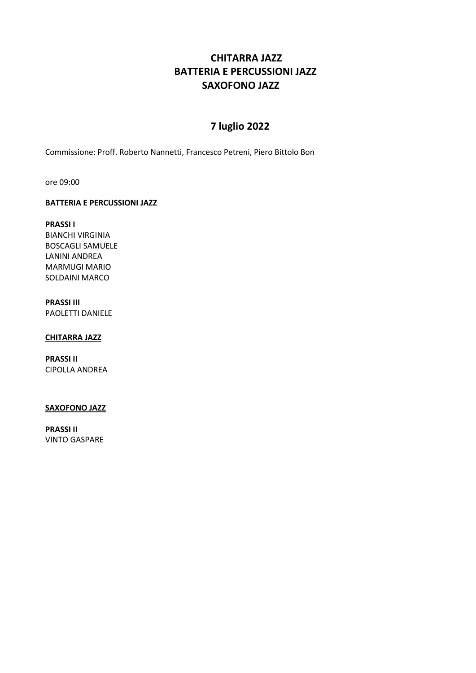### **CHITARRA JAZZ BATTERIA E PERCUSSIONI JAZZ SAXOFONO JAZZ**

### **7 luglio 2022**

Commissione: Proff. Roberto Nannetti, Francesco Petreni, Piero Bittolo Bon

ore 09:00

#### **BATTERIA E PERCUSSIONI JAZZ**

**PRASSI I** BIANCHI VIRGINIA BOSCAGLI SAMUELE LANINI ANDREA MARMUGI MARIO SOLDAINI MARCO

### **PRASSI III**

PAOLETTI DANIELE

#### **CHITARRA JAZZ**

**PRASSI II** CIPOLLA ANDREA

#### **SAXOFONO JAZZ**

**PRASSI II** VINTO GASPARE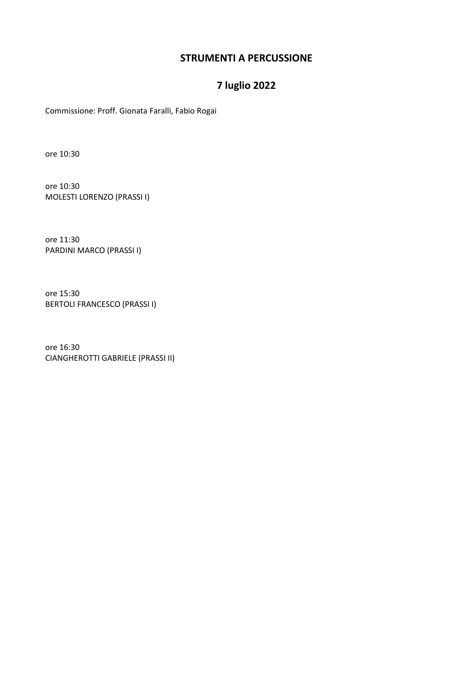### **STRUMENTI A PERCUSSIONE**

### **7 luglio 2022**

Commissione: Proff. Gionata Faralli, Fabio Rogai

ore 10:30

ore 10:30 MOLESTI LORENZO (PRASSI I)

ore 11:30 PARDINI MARCO (PRASSI I)

ore 15:30 BERTOLI FRANCESCO (PRASSI I)

ore 16:30 CIANGHEROTTI GABRIELE (PRASSI II)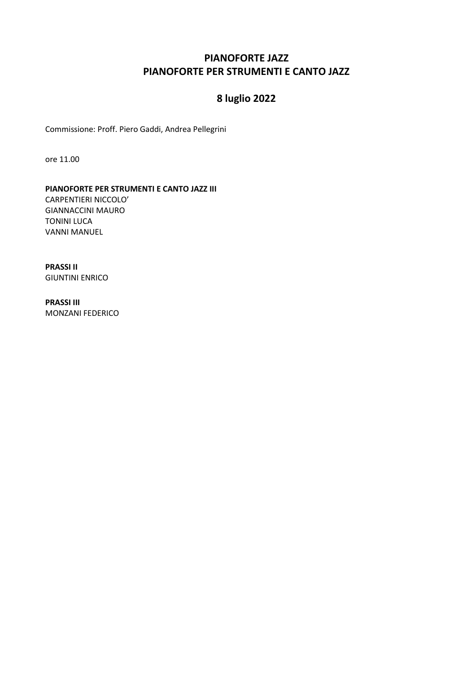### **PIANOFORTE JAZZ PIANOFORTE PER STRUMENTI E CANTO JAZZ**

# **8 luglio 2022**

Commissione: Proff. Piero Gaddi, Andrea Pellegrini

ore 11.00

#### **PIANOFORTE PER STRUMENTI E CANTO JAZZ III**

CARPENTIERI NICCOLO' GIANNACCINI MAURO TONINI LUCA VANNI MANUEL

**PRASSI II** GIUNTINI ENRICO

**PRASSI III** MONZANI FEDERICO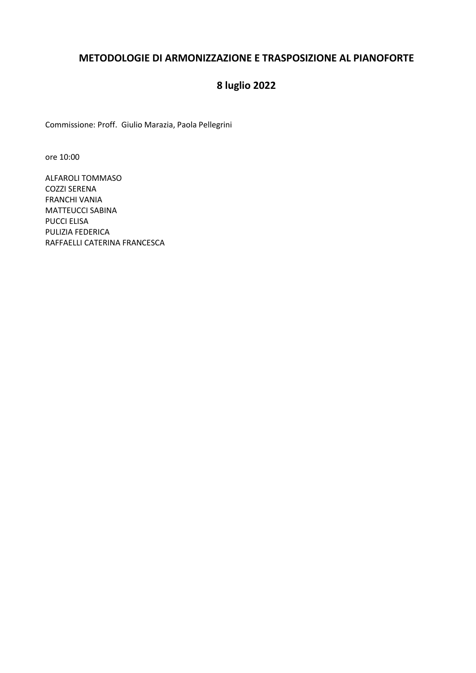### **METODOLOGIE DI ARMONIZZAZIONE E TRASPOSIZIONE AL PIANOFORTE**

# **8 luglio 2022**

Commissione: Proff. Giulio Marazia, Paola Pellegrini

ore 10:00

ALFAROLI TOMMASO COZZI SERENA FRANCHI VANIA MATTEUCCI SABINA PUCCI ELISA PULIZIA FEDERICA RAFFAELLI CATERINA FRANCESCA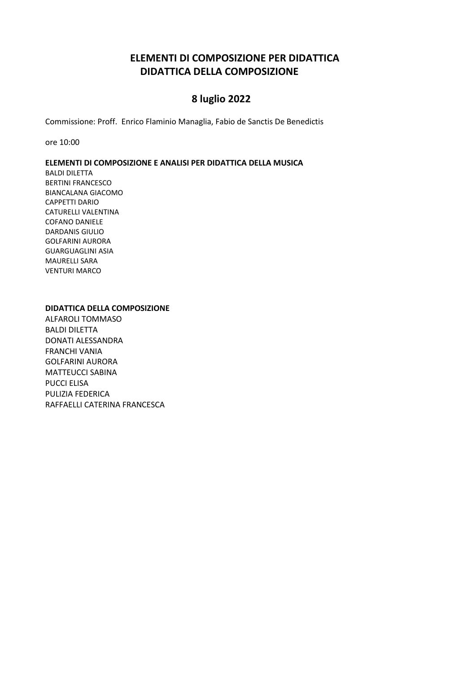### **ELEMENTI DI COMPOSIZIONE PER DIDATTICA DIDATTICA DELLA COMPOSIZIONE**

### **8 luglio 2022**

Commissione: Proff. Enrico Flaminio Managlia, Fabio de Sanctis De Benedictis

ore 10:00

#### **ELEMENTI DI COMPOSIZIONE E ANALISI PER DIDATTICA DELLA MUSICA**

BALDI DILETTA BERTINI FRANCESCO BIANCALANA GIACOMO CAPPETTI DARIO CATURELLI VALENTINA COFANO DANIELE DARDANIS GIULIO GOLFARINI AURORA GUARGUAGLINI ASIA MAURELLI SARA VENTURI MARCO

#### **DIDATTICA DELLA COMPOSIZIONE**

ALFAROLI TOMMASO BALDI DILETTA DONATI ALESSANDRA FRANCHI VANIA GOLFARINI AURORA MATTEUCCI SABINA PUCCI ELISA PULIZIA FEDERICA RAFFAELLI CATERINA FRANCESCA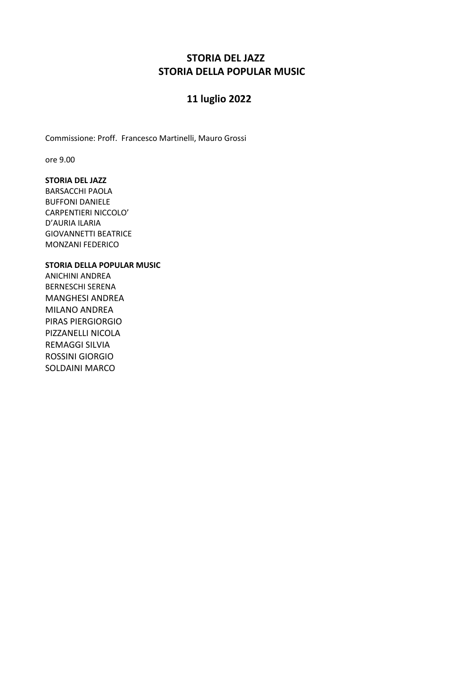### **STORIA DEL JAZZ STORIA DELLA POPULAR MUSIC**

### **11 luglio 2022**

Commissione: Proff. Francesco Martinelli, Mauro Grossi

ore 9.00

### **STORIA DEL JAZZ**

BARSACCHI PAOLA BUFFONI DANIELE CARPENTIERI NICCOLO' D'AURIA ILARIA GIOVANNETTI BEATRICE MONZANI FEDERICO

#### **STORIA DELLA POPULAR MUSIC**

ANICHINI ANDREA BERNESCHI SERENA MANGHESI ANDREA MILANO ANDREA PIRAS PIERGIORGIO PIZZANELLI NICOLA REMAGGI SILVIA ROSSINI GIORGIO SOLDAINI MARCO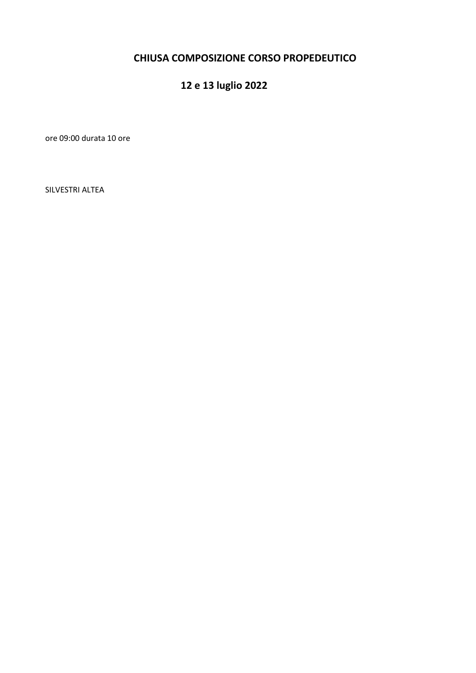### **CHIUSA COMPOSIZIONE CORSO PROPEDEUTICO**

# **12 e 13 luglio 2022**

ore 09:00 durata 10 ore

SILVESTRI ALTEA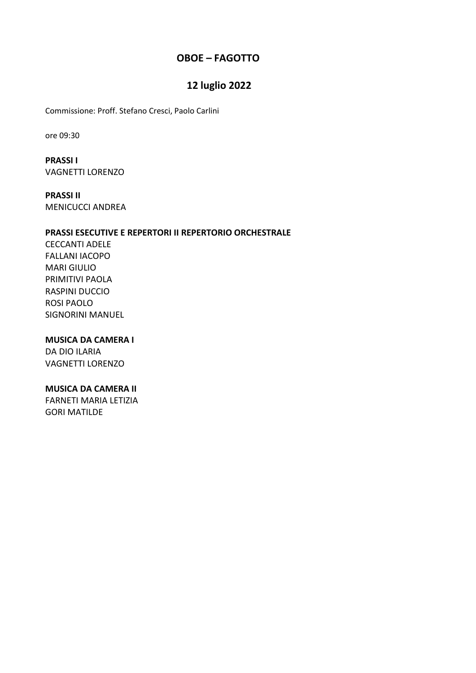### **OBOE – FAGOTTO**

### **12 luglio 2022**

Commissione: Proff. Stefano Cresci, Paolo Carlini

ore 09:30

**PRASSI I** VAGNETTI LORENZO

**PRASSI II** MENICUCCI ANDREA

#### **PRASSI ESECUTIVE E REPERTORI II REPERTORIO ORCHESTRALE**

CECCANTI ADELE FALLANI IACOPO MARI GIULIO PRIMITIVI PAOLA RASPINI DUCCIO ROSI PAOLO SIGNORINI MANUEL

### **MUSICA DA CAMERA I**

DA DIO ILARIA VAGNETTI LORENZO

### **MUSICA DA CAMERA II**

FARNETI MARIA LETIZIA GORI MATILDE